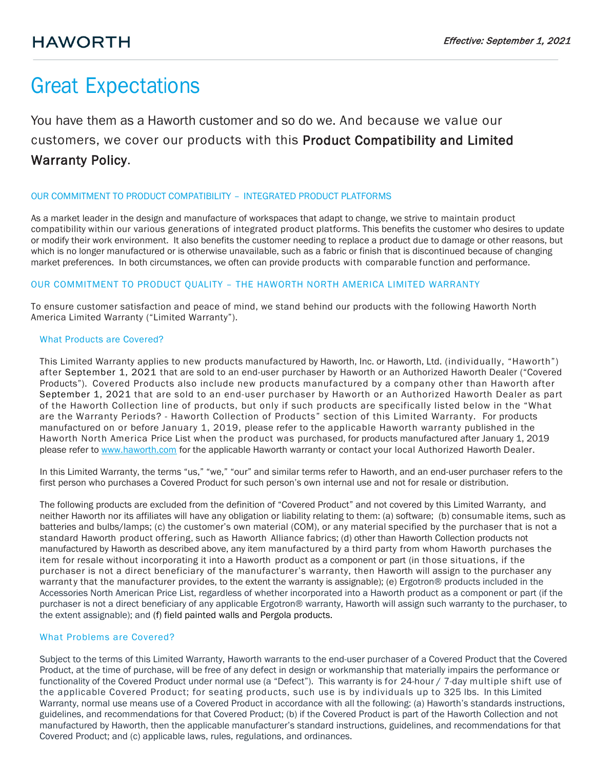# Great Expectations

You have them as a Haworth customer and so do we. And because we value our customers, we cover our products with this Product Compatibility and Limited Warranty Policy.

# OUR COMMITMENT TO PRODUCT COMPATIBILITY – INTEGRATED PRODUCT PLATFORMS

As a market leader in the design and manufacture of workspaces that adapt to change, we strive to maintain product compatibility within our various generations of integrated product platforms. This benefits the customer who desires to update or modify their work environment. It also benefits the customer needing to replace a product due to damage or other reasons, but which is no longer manufactured or is otherwise unavailable, such as a fabric or finish that is discontinued because of changing market preferences. In both circumstances, we often can provide products with comparable function and performance.

# OUR COMMITMENT TO PRODUCT QUALITY – THE HAWORTH NORTH AMERICA LIMITED WARRANTY

To ensure customer satisfaction and peace of mind, we stand behind our products with the following Haworth North America Limited Warranty ("Limited Warranty").

# What Products are Covered?

This Limited Warranty applies to new products manufactured by Haworth, Inc. or Haworth, Ltd. (individually, "Haworth") after September 1, 2021 that are sold to an end-user purchaser by Haworth or an Authorized Haworth Dealer ("Covered Products"). Covered Products also include new products manufactured by a company other than Haworth after September 1, 2021 that are sold to an end-user purchaser by Haworth or an Authorized Haworth Dealer as part of the Haworth Collection line of products, but only if such products are specifically listed below in the "What are the Warranty Periods? - Haworth Collection of Products" section of this Limited Warranty. For products manufactured on or before January 1, 2019, please refer to the applicable Haworth warranty published in the Haworth North America Price List when the product was purchased, for products manufactured after January 1, 2019 please refer to [www.haworth.com](http://www.haworth.com/) for the applicable Haworth warranty or contact your local Authorized Haworth Dealer.

In this Limited Warranty, the terms "us," "we," "our" and similar terms refer to Haworth, and an end-user purchaser refers to the first person who purchases a Covered Product for such person's own internal use and not for resale or distribution.

The following products are excluded from the definition of "Covered Product" and not covered by this Limited Warranty, and neither Haworth nor its affiliates will have any obligation or liability relating to them: (a) software; (b) consumable items, such as batteries and bulbs/lamps; (c) the customer's own material (COM), or any material specified by the purchaser that is not a standard Haworth product offering, such as Haworth Alliance fabrics; (d) other than Haworth Collection products not manufactured by Haworth as described above, any item manufactured by a third party from whom Haworth purchases the item for resale without incorporating it into a Haworth product as a component or part (in those situations, if the purchaser is not a direct beneficiary of the manufacturer's warranty, then Haworth will assign to the purchaser any warrant y that the manufacturer provides, to the extent the warranty is assignable); (e) Ergotron® products included in the Accessories North American Price List, regardless of whether incorporated into a Haworth product as a component or part (if the purchaser is not a direct beneficiary of any applicable Ergotron® warranty, Haworth will assign such warranty to the purchaser, to the extent assignable); and (f) field painted walls and Pergola products.

### What Problems are Covered?

Subject to the terms of this Limited Warranty, Haworth warrants to the end-user purchaser of a Covered Product that the Covered Product, at the time of purchase, will be free of any defect in design or workmanship that materially impairs the performance or functionality of the Covered Product under normal use (a "Defect"). This warranty is for 24-hour / 7-day multiple shift use of the applicable Covered Product; for seating products, such use is by individuals up to 325 lbs. In this Limited Warranty, normal use means use of a Covered Product in accordance with all the following: (a) Haworth's standards instructions, guidelines, and recommendations for that Covered Product; (b) if the Covered Product is part of the Haworth Collection and not manufactured by Haworth, then the applicable manufacturer's standard instructions, guidelines, and recommendations for that Covered Product; and (c) applicable laws, rules, regulations, and ordinances.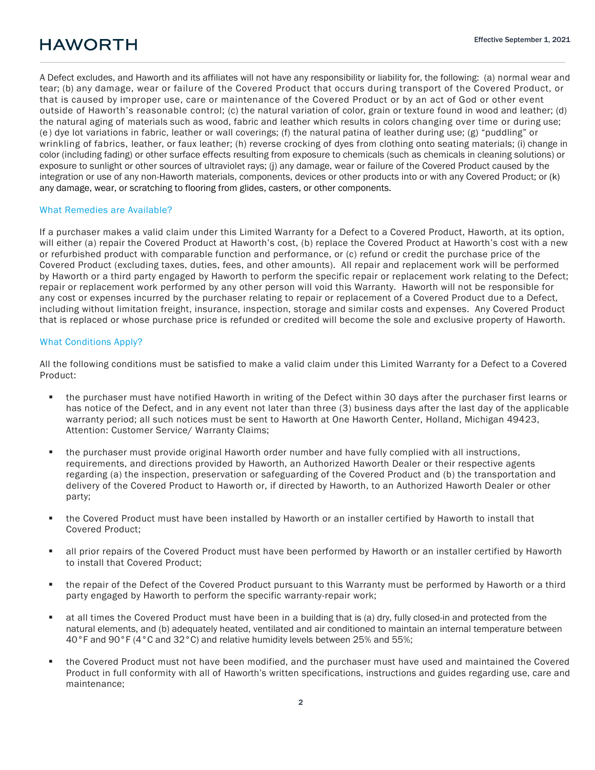A Defect excludes, and Haworth and its affiliates will not have any responsibility or liability for, the following: (a) normal wear and tear; (b) any damage, wear or failure of the Covered Product that occurs during transport of the Covered Product, or that is caused by improper use, care or maintenance of the Covered Product or by an act of God or other event outside of Haworth's reasonable control; (c) the natural variation of color, grain or texture found in wood and leather; (d) the natural aging of materials such as wood, fabric and leather which results in colors changing over time or during use; (e ) dye lot variations in fabric, leather or wall coverings; (f) the natural patina of leather during use; (g) "puddling" or wrinkling of fabrics, leather, or faux leather; (h) reverse crocking of dyes from clothing onto seating materials; (i) change in color (including fading) or other surface effects resulting from exposure to chemicals (such as chemicals in cleaning solutions) or exposure to sunlight or other sources of ultraviolet rays; (j) any damage, wear or failure of the Covered Product caused by the integration or use of any non-Haworth materials, components, devices or other products into or with any Covered Product; or (k) any damage, wear, or scratching to flooring from glides, casters, or other components.

#### What Remedies are Available?

If a purchaser makes a valid claim under this Limited Warranty for a Defect to a Covered Product, Haworth, at its option, will either (a) repair the Covered Product at Haworth's cost, (b) replace the Covered Product at Haworth's cost with a new or refurbished product with comparable function and performance, or (c) refund or credit the purchase price of the Covered Product (excluding taxes, duties, fees, and other amounts). All repair and replacement work will be performed by Haworth or a third party engaged by Haworth to perform the specific repair or replacement work relating to the Defect; repair or replacement work performed by any other person will void this Warranty. Haworth will not be responsible for any cost or expenses incurred by the purchaser relating to repair or replacement of a Covered Product due to a Defect, including without limitation freight, insurance, inspection, storage and similar costs and expenses. Any Covered Product that is replaced or whose purchase price is refunded or credited will become the sole and exclusive property of Haworth.

#### What Conditions Apply?

All the following conditions must be satisfied to make a valid claim under this Limited Warranty for a Defect to a Covered Product:

- the purchaser must have notified Haworth in writing of the Defect within 30 days after the purchaser first learns or has notice of the Defect, and in any event not later than three (3) business days after the last day of the applicable warranty period; all such notices must be sent to Haworth at One Haworth Center, Holland, Michigan 49423, Attention: Customer Service/ Warranty Claims;
- the purchaser must provide original Haworth order number and have fully complied with all instructions, requirements, and directions provided by Haworth, an Authorized Haworth Dealer or their respective agents regarding (a) the inspection, preservation or safeguarding of the Covered Product and (b) the transportation and delivery of the Covered Product to Haworth or, if directed by Haworth, to an Authorized Haworth Dealer or other party;
- the Covered Product must have been installed by Haworth or an installer certified by Haworth to install that Covered Product;
- all prior repairs of the Covered Product must have been performed by Haworth or an installer certified by Haworth to install that Covered Product;
- the repair of the Defect of the Covered Product pursuant to this Warranty must be performed by Haworth or a third party engaged by Haworth to perform the specific warranty-repair work;
- at all times the Covered Product must have been in a building that is (a) dry, fully closed-in and protected from the natural elements, and (b) adequately heated, ventilated and air conditioned to maintain an internal temperature between 40°F and 90°F (4°C and 32°C) and relative humidity levels between 25% and 55%;
- the Covered Product must not have been modified, and the purchaser must have used and maintained the Covered Product in full conformity with all of Haworth's written specifications, instructions and guides regarding use, care and maintenance;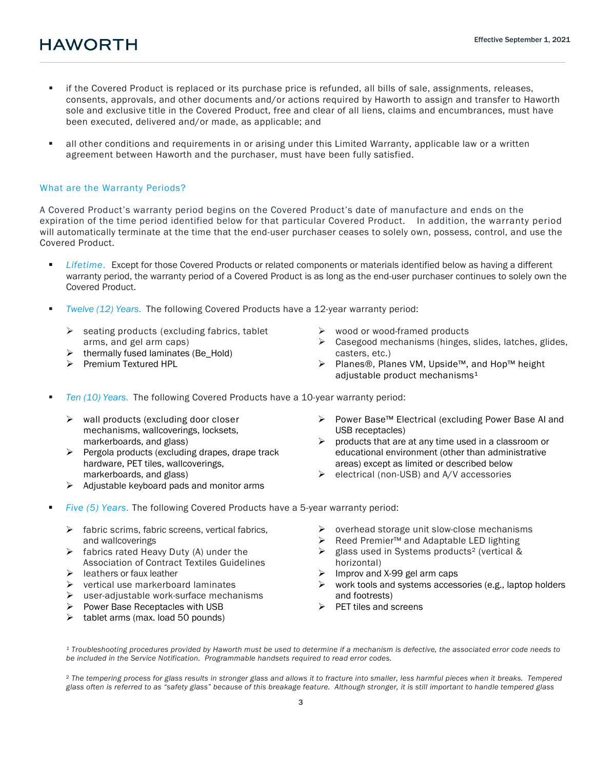- if the Covered Product is replaced or its purchase price is refunded, all bills of sale, assignments, releases, consents, approvals, and other documents and/or actions required by Haworth to assign and transfer to Haworth sole and exclusive title in the Covered Product, free and clear of all liens, claims and encumbrances, must have been executed, delivered and/or made, as applicable; and
- all other conditions and requirements in or arising under this Limited Warranty, applicable law or a written agreement between Haworth and the purchaser, must have been fully satisfied.

#### What are the Warranty Periods?

A Covered Product's warranty period begins on the Covered Product's date of manufacture and ends on the expiration of the time period identified below for that particular Covered Product. In addition, the warranty period will automatically terminate at the time that the end-user purchaser ceases to solely own, possess, control, and use the Covered Product.

- *Lifetime*. Except for those Covered Products or related components or materials identified below as having a different warranty period, the warranty period of a Covered Product is as long as the end-user purchaser continues to solely own the Covered Product.
- *Twelve (12) Years*. The following Covered Products have a 12-year warranty period:
	- $\triangleright$  seating products (excluding fabrics, tablet arms, and gel arm caps)
	- $\triangleright$  thermally fused laminates (Be\_Hold)
	- $\triangleright$  Premium Textured HPL
- $\triangleright$  wood or wood-framed products
- > Casegood mechanisms (hinges, slides, latches, glides, casters, etc.)
- Planes®, Planes VM, Upside™, and Hop™ height adjustable product mechanisms $1$
- *Ten (10) Years*. The following Covered Products have a 10-year warranty period:
	- $\triangleright$  wall products (excluding door closer mechanisms, wallcoverings, locksets, markerboards, and glass)
	- $\triangleright$  Pergola products (excluding drapes, drape track hardware, PET tiles, wallcoverings, markerboards, and glass)
	- $\triangleright$  Adjustable keyboard pads and monitor arms
- Power Base™ Electrical (excluding Power Base AI and USB receptacles)
- $\triangleright$  products that are at any time used in a classroom or educational environment (other than administrative areas) except as limited or described below
- $\triangleright$  electrical (non-USB) and A/V accessories
- *Five (5) Years*. The following Covered Products have a 5-year warranty period:
	- $\triangleright$  fabric scrims, fabric screens, vertical fabrics, and wallcoverings
	- $\triangleright$  fabrics rated Heavy Duty (A) under the Association of Contract Textiles Guidelines
	- $\triangleright$  leathers or faux leather
	- vertical use markerboard laminates
	- $\triangleright$  user-adjustable work-surface mechanisms
	- $\triangleright$  Power Base Receptacles with USB
	- $\triangleright$  tablet arms (max. load 50 pounds)
- $\triangleright$  overhead storage unit slow-close mechanisms<br> $\triangleright$  Reed Premier<sup>TM</sup> and Adaptable LED lighting
- Reed Premier™ and Adaptable LED lighting
- $\triangleright$  glass used in Systems products<sup>2</sup> (vertical & horizontal)
- $\triangleright$  Improv and X-99 gel arm caps
- $\triangleright$  work tools and systems accessories (e.g., laptop holders and footrests)
- $\triangleright$  PET tiles and screens

*¹ Troubleshooting procedures provided by Haworth must be used to determine if a mechanism is defective, the associated error code needs to be included in the Service Notification. Programmable handsets required to read error codes.*

² *The tempering process for glass results in stronger glass and allows it to fracture into smaller, less harmful pieces when it breaks. Tempered glass often is referred to as "safety glass" because of this breakage feature. Although stronger, it is still important to handle tempered glass*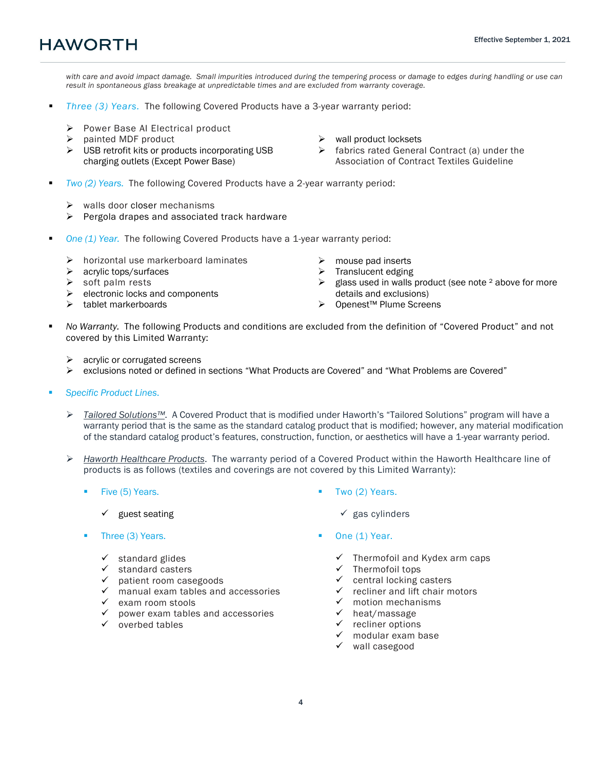*with care and avoid impact damage. Small impurities introduced during the tempering process or damage to edges during handling or use can result in spontaneous glass breakage at unpredictable times and are excluded from warranty coverage.*

- *Three (3) Years.* The following Covered Products have a 3-year warranty period:
	- Power Base AI Electrical product
	- $\triangleright$  painted MDF product
	- $\triangleright$  USB retrofit kits or products incorporating USB charging outlets (Except Power Base)
- $\triangleright$  wall product locksets
- $\triangleright$  fabrics rated General Contract (a) under the Association of Contract Textiles Guideline
- *Two (2) Years.* The following Covered Products have a 2-year warranty period:
	- $\triangleright$  walls door closer mechanisms
	- $\triangleright$  Pergola drapes and associated track hardware
- *One (1) Year.* The following Covered Products have a 1-year warranty period:
	- $\triangleright$  horizontal use markerboard laminates
	- $\geq$  acrylic tops/surfaces<br> $\geq$  soft palm rests
	- soft palm rests
	- $\triangleright$  electronic locks and components
	- $\triangleright$  tablet markerboards
- $\triangleright$  mouse pad inserts
- $\triangleright$  Translucent edging
- $\triangleright$  glass used in walls product (see note <sup>2</sup> above for more details and exclusions)
- Openest™ Plume Screens
- *No Warranty.* The following Products and conditions are excluded from the definition of "Covered Product" and not covered by this Limited Warranty:
	- $\triangleright$  acrylic or corrugated screens
	- exclusions noted or defined in sections "What Products are Covered" and "What Problems are Covered"
- *Specific Product Lines*.
	- *Tailored Solutions™*. A Covered Product that is modified under Haworth's "Tailored Solutions" program will have a warranty period that is the same as the standard catalog product that is modified; however, any material modification of the standard catalog product's features, construction, function, or aesthetics will have a 1-year warranty period.
	- *Haworth Healthcare Products*. The warranty period of a Covered Product within the Haworth Healthcare line of products is as follows (textiles and coverings are not covered by this Limited Warranty):
		- Five (5) Years.
			- $\checkmark$  guest seating
		- Three (3) Years.
			- $\checkmark$  standard glides
			- standard casters
			- $\checkmark$  patient room casegoods
			- $\checkmark$  manual exam tables and accessories
			- $\checkmark$  exam room stools
			- $\checkmark$  power exam tables and accessories
			- $\checkmark$  overbed tables
- **Two (2) Years.** 
	- $\checkmark$  gas cylinders
- One (1) Year.
	- $\checkmark$  Thermofoil and Kydex arm caps
	- $\checkmark$  Thermofoil tops
	- $\checkmark$  central locking casters
	- $\checkmark$  recliner and lift chair motors
	- $\checkmark$  motion mechanisms
	- $\checkmark$  heat/massage
	- $\checkmark$  recliner options
	- $\checkmark$  modular exam base
	- $\checkmark$  wall casegood